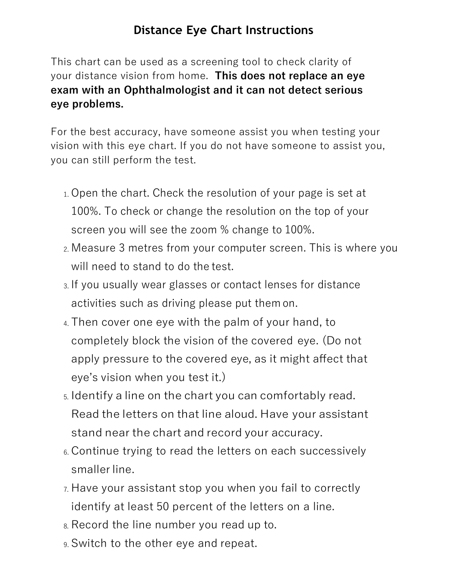## **Distance Eye Chart Instructions**

This chart can be used as a screening tool to check clarity of your distance vision from home. **This does not replace an eye exam with an Ophthalmologist and it can not detect serious eye problems.**

For the best accuracy, have someone assist you when testing your vision with this eye chart. If you do not have someone to assist you, you can still perform the test.

- 1. Open the chart. Check the resolution of your page is set at 100%. To check or change the resolution on the top of your screen you will see the zoom % change to 100%.
- 2. Measure 3 metres from your computer screen. This is where you will need to stand to do the test.
- 3. If you usually wear glasses or contact lenses for distance activities such as driving please put them on.
- 4. Then cover one eye with the palm of your hand, to completely block the vision of the covered eye. (Do not apply pressure to the covered eye, as it might affect that eye's vision when you test it.)
- 5. Identify a line on the chart you can comfortably read. Read the letters on that line aloud. Have your assistant stand near the chart and record your accuracy.
- 6. Continue trying to read the letters on each successively smaller line.
- 7. Have your assistant stop you when you fail to correctly identify at least 50 percent of the letters on a line.
- 8. Record the line number you read up to.
- 9. Switch to the other eye and repeat.